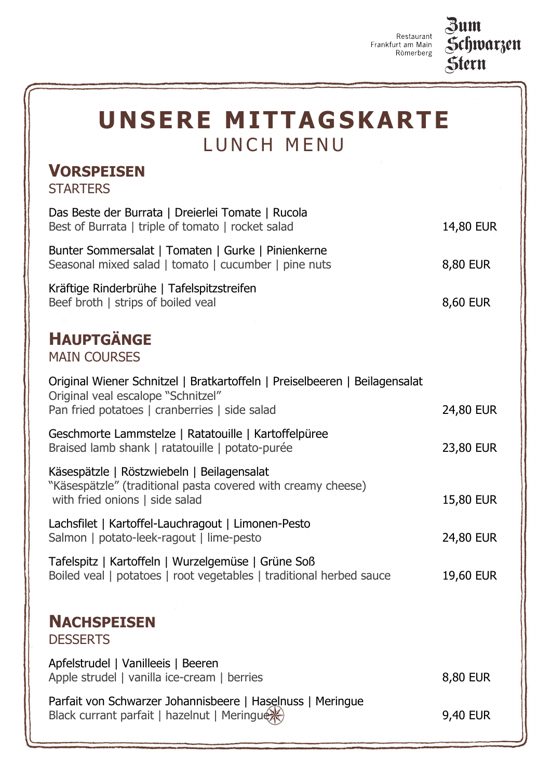Restaurant Frankfurt am Main Römerberg



| UNSERE MITTAGSKARTE<br>LUNCH MENU                                                                                                                                 |                  |
|-------------------------------------------------------------------------------------------------------------------------------------------------------------------|------------------|
| <b>VORSPEISEN</b><br><b>STARTERS</b>                                                                                                                              |                  |
| Das Beste der Burrata   Dreierlei Tomate   Rucola<br>Best of Burrata   triple of tomato   rocket salad                                                            | 14,80 EUR        |
| Bunter Sommersalat   Tomaten   Gurke   Pinienkerne<br>Seasonal mixed salad   tomato   cucumber   pine nuts                                                        | 8,80 EUR         |
| Kräftige Rinderbrühe   Tafelspitzstreifen<br>Beef broth   strips of boiled veal                                                                                   | 8,60 EUR         |
| <b>HAUPTGÄNGE</b><br><b>MAIN COURSES</b>                                                                                                                          |                  |
| Original Wiener Schnitzel   Bratkartoffeln   Preiselbeeren   Beilagensalat<br>Original veal escalope "Schnitzel"<br>Pan fried potatoes   cranberries   side salad | 24,80 EUR        |
| Geschmorte Lammstelze   Ratatouille   Kartoffelpüree<br>Braised lamb shank   ratatouille   potato-purée                                                           | 23,80 EUR        |
| Käsespätzle   Röstzwiebeln   Beilagensalat<br>"Käsespätzle" (traditional pasta covered with creamy cheese)<br>with fried onions   side salad                      | 15,80 EUR        |
| Lachsfilet   Kartoffel-Lauchragout   Limonen-Pesto<br>Salmon   potato-leek-ragout   lime-pesto                                                                    | 24,80 EUR        |
| Tafelspitz   Kartoffeln   Wurzelgemüse   Grüne Soß<br>Boiled veal   potatoes   root vegetables   traditional herbed sauce                                         | <b>19,60 EUR</b> |

## **NACHSPEISEN DESSERTS**

Apfelstrudel | Vanilleeis | Beeren Apple strudel | vanilla ice-cream | berries 8,80 EUR

Parfait von Schwarzer Johannisbeere | Haselnuss | Meringue Black currant parfait | hazelnut | Meringue  $\gg$  9,40 EUR